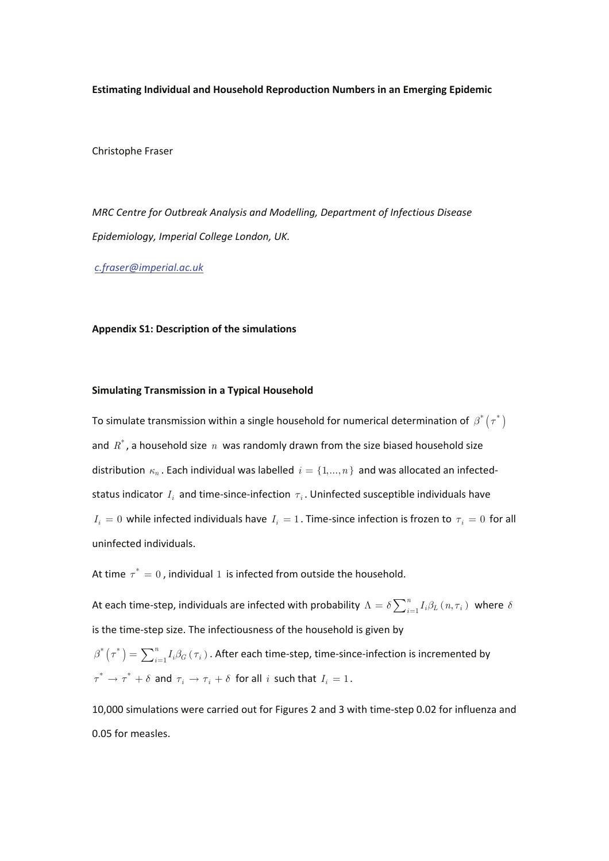**Estimating Individual and Household Reproduction Numbers in an Emerging Epidemic** 

Christophe Fraser

*MRC Centre for Outbreak Analysis and Modelling, Department of Infectious Disease Epidemiology, Imperial College London, UK.* 

*c.fraser@imperial.ac.uk*

## **Appendix S1: Description of the simulations**

## **Simulating Transmission in a Typical Household**

To simulate transmission within a single household for numerical determination of  $\beta^* (\tau^*)$ and  $R^*$ , a household size  $n$  was randomly drawn from the size biased household size distribution  $\kappa_n$ . Each individual was labelled  $i = \{1, ..., n\}$  and was allocated an infectedstatus indicator *<sup>i</sup> I* and time-since-infection *τ<sup>i</sup>* . Uninfected susceptible individuals have  $I_i = 0$  while infected individuals have  $I_i = 1$ . Time-since infection is frozen to  $\tau_i = 0$  for all uninfected individuals.

At time  $\tau^* = 0$ , individual 1 is infected from outside the household.

At each time-step, individuals are infected with probability  $\Lambda = \delta\sum_{i=1}^n I_i\beta_L$   $(n,\tau_i)$  where  $\delta$ is the time-step size. The infectiousness of the household is given by

 $f^*\left( \tau^* \right) = \sum_{i=1}^n I_i \beta_G \left( \tau_i \right)$  $\beta^*\big(\tau^*\big)=\sum_{i=1}^n I_i\beta_G\left(\tau_i\right)$  . After each time-step, time-since-infection is incremented by  $\tau^* \to \tau^* + \delta$  and  $\tau_i \to \tau_i + \delta$  for all *i* such that  $I_i = 1$ .

10,000 simulations were carried out for Figures 2 and 3 with time-step 0.02 for influenza and 0.05 for measles.